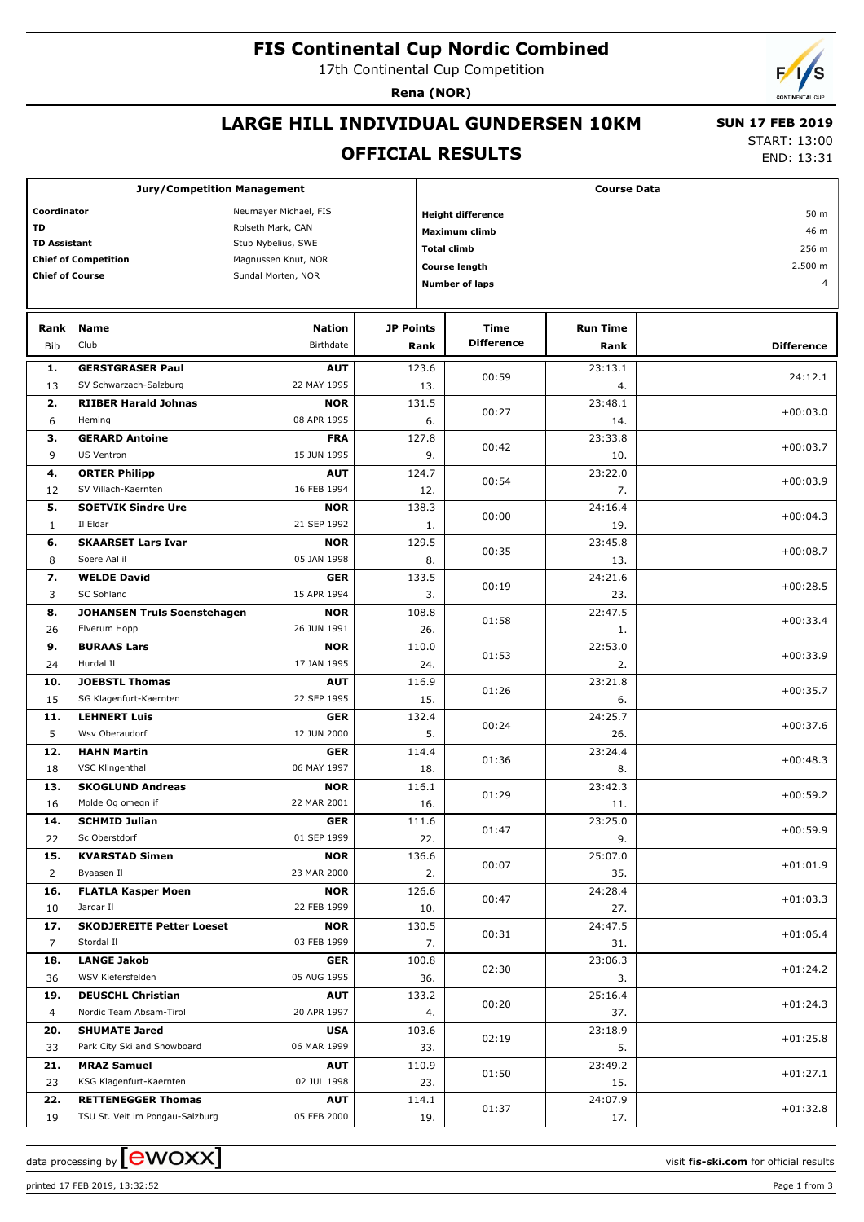# **FIS Continental Cup Nordic Combined**

17th Continental Cup Competition

**Rena (NOR)**

# **LARGE HILL INDIVIDUAL GUNDERSEN 10KM**

## **OFFICIAL RESULTS**

 **SUN 17 FEB 2019** START: 13:00

END: 13:31

| <b>Jury/Competition Management</b>        |                                                                                  |                  |                                  | <b>Course Data</b>        |                         |                   |  |  |
|-------------------------------------------|----------------------------------------------------------------------------------|------------------|----------------------------------|---------------------------|-------------------------|-------------------|--|--|
| Coordinator<br>Neumayer Michael, FIS      |                                                                                  |                  | 50 m<br><b>Height difference</b> |                           |                         |                   |  |  |
| <b>TD</b><br>Rolseth Mark, CAN            |                                                                                  |                  |                                  | Maximum climb             |                         |                   |  |  |
| <b>TD Assistant</b><br>Stub Nybelius, SWE |                                                                                  |                  |                                  | <b>Total climb</b>        |                         | 46 m<br>256 m     |  |  |
|                                           | <b>Chief of Competition</b><br>Magnussen Knut, NOR                               |                  |                                  | <b>Course length</b>      |                         | 2.500 m           |  |  |
| <b>Chief of Course</b>                    | Sundal Morten, NOR                                                               |                  |                                  | <b>Number of laps</b>     |                         | 4                 |  |  |
|                                           |                                                                                  |                  |                                  |                           |                         |                   |  |  |
|                                           |                                                                                  |                  |                                  |                           |                         |                   |  |  |
| Rank<br><b>Bib</b>                        | <b>Nation</b><br><b>Name</b><br>Birthdate<br>Club                                | <b>JP Points</b> | Rank                             | Time<br><b>Difference</b> | <b>Run Time</b><br>Rank | <b>Difference</b> |  |  |
|                                           |                                                                                  |                  |                                  |                           |                         |                   |  |  |
| 1.                                        | <b>GERSTGRASER Paul</b><br><b>AUT</b>                                            |                  | 123.6                            | 00:59                     | 23:13.1                 | 24:12.1           |  |  |
| 13                                        | 22 MAY 1995<br>SV Schwarzach-Salzburg                                            |                  | 13.<br>131.5                     |                           | 4.                      |                   |  |  |
| 2.<br>6                                   | <b>NOR</b><br><b>RIIBER Harald Johnas</b><br>08 APR 1995<br>Heming               |                  | 6.                               | 00:27                     | 23:48.1<br>14.          | $+00:03.0$        |  |  |
| з.                                        | <b>GERARD Antoine</b><br><b>FRA</b>                                              |                  | 127.8                            |                           | 23:33.8                 |                   |  |  |
| 9                                         | 15 JUN 1995<br>US Ventron                                                        |                  | 9.                               | 00:42                     | 10.                     | $+00:03.7$        |  |  |
| 4.                                        | <b>ORTER Philipp</b><br><b>AUT</b>                                               |                  | 124.7                            |                           | 23:22.0                 |                   |  |  |
| 12                                        | 16 FEB 1994<br>SV Villach-Kaernten                                               |                  | 12.                              | 00:54                     | 7.                      | $+00:03.9$        |  |  |
| 5.                                        | <b>SOETVIK Sindre Ure</b><br>NOR                                                 |                  | 138.3                            |                           | 24:16.4                 |                   |  |  |
| $\mathbf{1}$                              | 21 SEP 1992<br>Il Eldar                                                          |                  | 1.                               | 00:00                     | 19.                     | $+00:04.3$        |  |  |
| 6.                                        | <b>SKAARSET Lars Ivar</b><br><b>NOR</b>                                          |                  | 129.5                            | 00:35                     | 23:45.8                 | $+00:08.7$        |  |  |
| 8                                         | 05 JAN 1998<br>Soere Aal il                                                      |                  | 8.                               |                           | 13.                     |                   |  |  |
| 7.                                        | <b>WELDE David</b><br><b>GER</b>                                                 |                  | 133.5                            | 00:19                     | 24:21.6                 | $+00:28.5$        |  |  |
| 3                                         | 15 APR 1994<br><b>SC Sohland</b>                                                 |                  | 3.                               |                           | 23.                     |                   |  |  |
| 8.                                        | <b>JOHANSEN Truls Soenstehagen</b><br><b>NOR</b>                                 |                  | 108.8                            | 01:58                     | 22:47.5                 | $+00:33.4$        |  |  |
| 26                                        | 26 JUN 1991<br>Elverum Hopp                                                      |                  | 26.                              |                           | 1.                      |                   |  |  |
| 9.                                        | <b>BURAAS Lars</b><br><b>NOR</b>                                                 |                  | 110.0                            | 01:53                     | 22:53.0                 | $+00:33.9$        |  |  |
| 24                                        | 17 JAN 1995<br>Hurdal II                                                         |                  | 24.                              |                           | 2.                      |                   |  |  |
| 10.                                       | <b>JOEBSTL Thomas</b><br><b>AUT</b>                                              |                  | 116.9                            | 01:26                     | 23:21.8                 | $+00:35.7$        |  |  |
| 15<br>11.                                 | 22 SEP 1995<br>SG Klagenfurt-Kaernten<br><b>LEHNERT Luis</b><br><b>GER</b>       |                  | 15.<br>132.4                     |                           | 6.<br>24:25.7           |                   |  |  |
| 5                                         | Wsv Oberaudorf<br>12 JUN 2000                                                    |                  | 5.                               | 00:24                     | 26.                     | $+00:37.6$        |  |  |
| 12.                                       | <b>HAHN Martin</b><br><b>GER</b>                                                 |                  | 114.4                            |                           | 23:24.4                 |                   |  |  |
| 18                                        | 06 MAY 1997<br>VSC Klingenthal                                                   |                  | 18.                              | 01:36                     | 8.                      | $+00:48.3$        |  |  |
| 13.                                       | <b>NOR</b><br><b>SKOGLUND Andreas</b>                                            |                  | 116.1                            |                           | 23:42.3                 |                   |  |  |
| 16                                        | 22 MAR 2001<br>Molde Og omegn if                                                 |                  | 16.                              | 01:29                     | 11.                     | $+00:59.2$        |  |  |
| 14.                                       | <b>SCHMID Julian</b><br><b>GER</b>                                               |                  | 111.6                            |                           | 23:25.0                 |                   |  |  |
| 22                                        | Sc Oberstdorf<br>01 SEP 1999                                                     |                  | 22.                              | 01:47                     | 9.                      | $+00:59.9$        |  |  |
| 15.                                       | <b>KVARSTAD Simen</b><br><b>NOR</b>                                              |                  | 136.6                            |                           | 25:07.0                 |                   |  |  |
| $\overline{2}$                            | 23 MAR 2000<br>Byaasen Il                                                        |                  | 2.                               | 00:07                     | 35.                     | $+01:01.9$        |  |  |
| 16.                                       | <b>FLATLA Kasper Moen</b><br><b>NOR</b>                                          |                  | 126.6                            | 00:47                     | 24:28.4                 | $+01:03.3$        |  |  |
| 10                                        | 22 FEB 1999<br>Jardar II                                                         |                  | 10.                              |                           | 27.                     |                   |  |  |
| 17.                                       | <b>SKODJEREITE Petter Loeset</b><br><b>NOR</b>                                   |                  | 130.5                            | 00:31                     | 24:47.5                 | $+01:06.4$        |  |  |
| $\overline{7}$                            | Stordal II<br>03 FEB 1999                                                        |                  | 7.                               |                           | 31.                     |                   |  |  |
| 18.                                       | <b>LANGE Jakob</b><br><b>GER</b>                                                 |                  | 100.8                            | 02:30                     | 23:06.3                 | $+01:24.2$        |  |  |
| 36                                        | 05 AUG 1995<br>WSV Kiefersfelden                                                 |                  | 36.                              |                           | 3.                      |                   |  |  |
| 19.                                       | <b>DEUSCHL Christian</b><br><b>AUT</b>                                           |                  | 133.2                            | 00:20                     | 25:16.4                 | $+01:24.3$        |  |  |
| $\overline{4}$                            | 20 APR 1997<br>Nordic Team Absam-Tirol                                           |                  | 4.                               |                           | 37.                     |                   |  |  |
| 20.<br>33                                 | <b>SHUMATE Jared</b><br><b>USA</b><br>06 MAR 1999<br>Park City Ski and Snowboard |                  | 103.6<br>33.                     | 02:19                     | 23:18.9<br>5.           | $+01:25.8$        |  |  |
| 21.                                       | <b>MRAZ Samuel</b><br><b>AUT</b>                                                 |                  | 110.9                            |                           | 23:49.2                 |                   |  |  |
| 23                                        | 02 JUL 1998<br>KSG Klagenfurt-Kaernten                                           |                  | 23.                              | 01:50                     | 15.                     | $+01:27.1$        |  |  |
| 22.                                       | <b>RETTENEGGER Thomas</b><br><b>AUT</b>                                          |                  | 114.1                            |                           | 24:07.9                 |                   |  |  |
| 19                                        | TSU St. Veit im Pongau-Salzburg<br>05 FEB 2000                                   |                  | 19.                              | 01:37                     | 17.                     | $+01:32.8$        |  |  |

printed 17 FEB 2019, 13:32:52 Page 1 from 3

data processing by **CWOXX** and  $\overline{C}$  and  $\overline{C}$  and  $\overline{C}$  and  $\overline{C}$  and  $\overline{C}$  and  $\overline{C}$  and  $\overline{C}$  and  $\overline{C}$  and  $\overline{C}$  and  $\overline{C}$  and  $\overline{C}$  and  $\overline{C}$  and  $\overline{C}$  and  $\overline{C}$  and  $\overline{C}$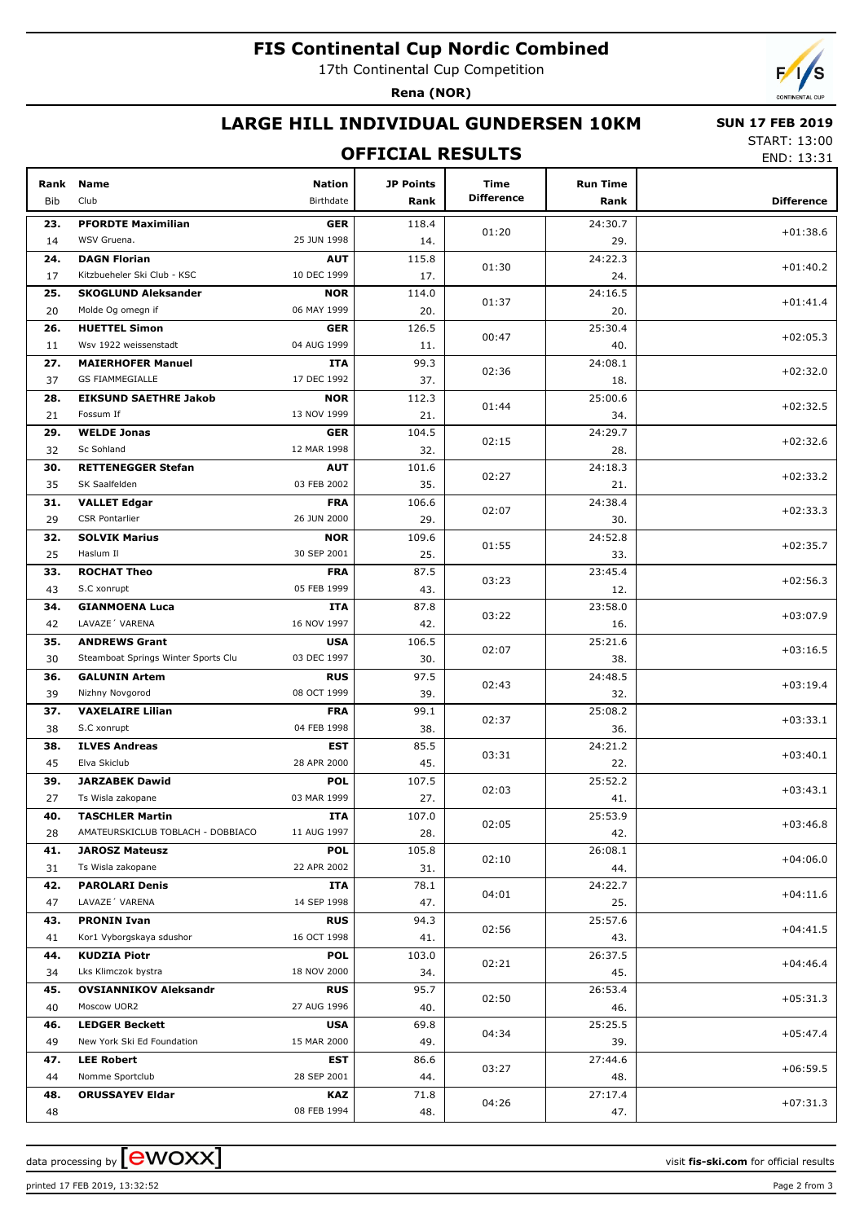# **FIS Continental Cup Nordic Combined**

17th Continental Cup Competition

**Rena (NOR)**



# **LARGE HILL INDIVIDUAL GUNDERSEN 10KM**

### **OFFICIAL RESULTS**

 **SUN 17 FEB 2019** START: 13:00

END: 13:31

| Rank       | <b>Name</b>                         | <b>Nation</b> | <b>JP Points</b> | Time              | <b>Run Time</b> |                   |
|------------|-------------------------------------|---------------|------------------|-------------------|-----------------|-------------------|
| <b>Bib</b> | Club                                | Birthdate     | Rank             | <b>Difference</b> | Rank            | <b>Difference</b> |
| 23.        | <b>PFORDTE Maximilian</b>           | <b>GER</b>    | 118.4            |                   | 24:30.7         |                   |
| 14         | WSV Gruena.                         | 25 JUN 1998   | 14.              | 01:20             | 29.             | $+01:38.6$        |
| 24.        | <b>DAGN Florian</b>                 | <b>AUT</b>    | 115.8            |                   | 24:22.3         |                   |
| 17         | Kitzbueheler Ski Club - KSC         | 10 DEC 1999   | 17.              | 01:30             | 24.             | $+01:40.2$        |
| 25.        | <b>SKOGLUND Aleksander</b>          | <b>NOR</b>    | 114.0            |                   | 24:16.5         |                   |
| 20         | Molde Og omegn if                   | 06 MAY 1999   | 20.              | 01:37             | 20.             | $+01:41.4$        |
| 26.        | <b>HUETTEL Simon</b>                | <b>GER</b>    | 126.5            |                   | 25:30.4         |                   |
| 11         | Wsv 1922 weissenstadt               | 04 AUG 1999   | 11.              | 00:47             | 40.             | $+02:05.3$        |
| 27.        | <b>MAIERHOFER Manuel</b>            | <b>ITA</b>    | 99.3             | 02:36             | 24:08.1         | $+02:32.0$        |
| 37         | <b>GS FIAMMEGIALLE</b>              | 17 DEC 1992   | 37.              |                   | 18.             |                   |
| 28.        | <b>EIKSUND SAETHRE Jakob</b>        | <b>NOR</b>    | 112.3            | 01:44             | 25:00.6         | $+02:32.5$        |
| 21         | Fossum If                           | 13 NOV 1999   | 21.              |                   | 34.             |                   |
| 29.        | <b>WELDE Jonas</b>                  | <b>GER</b>    | 104.5            | 02:15             | 24:29.7         | $+02:32.6$        |
| 32         | Sc Sohland                          | 12 MAR 1998   | 32.              |                   | 28.             |                   |
| 30.        | <b>RETTENEGGER Stefan</b>           | <b>AUT</b>    | 101.6            | 02:27             | 24:18.3         | $+02:33.2$        |
| 35         | SK Saalfelden                       | 03 FEB 2002   | 35.              |                   | 21.             |                   |
| 31.        | <b>VALLET Edgar</b>                 | <b>FRA</b>    | 106.6            |                   | 24:38.4         | $+02:33.3$        |
| 29         | <b>CSR Pontarlier</b>               | 26 JUN 2000   | 29.              | 02:07             | 30.             |                   |
| 32.        | <b>SOLVIK Marius</b>                | <b>NOR</b>    | 109.6            | 01:55             | 24:52.8         | $+02:35.7$        |
| 25         | Haslum II                           | 30 SEP 2001   | 25.              |                   | 33.             |                   |
| 33.        | <b>ROCHAT Theo</b>                  | <b>FRA</b>    | 87.5             | 03:23             | 23:45.4         | $+02:56.3$        |
| 43         | S.C xonrupt                         | 05 FEB 1999   | 43.              |                   | 12.             |                   |
| 34.        | <b>GIANMOENA Luca</b>               | <b>ITA</b>    | 87.8             | 03:22             | 23:58.0         | $+03:07.9$        |
| 42         | LAVAZE 'VARENA                      | 16 NOV 1997   | 42.              |                   | 16.             |                   |
| 35.        | <b>ANDREWS Grant</b>                | <b>USA</b>    | 106.5            |                   | 25:21.6         | $+03:16.5$        |
| 30         | Steamboat Springs Winter Sports Clu | 03 DEC 1997   | 30.              | 02:07             | 38.             |                   |
| 36.        | <b>GALUNIN Artem</b>                | <b>RUS</b>    | 97.5             | 02:43             | 24:48.5         | $+03:19.4$        |
| 39         | Nizhny Novgorod                     | 08 OCT 1999   | 39.              |                   | 32.             |                   |
| 37.        | <b>VAXELAIRE Lilian</b>             | <b>FRA</b>    | 99.1             | 02:37             | 25:08.2         | $+03:33.1$        |
| 38         | S.C xonrupt                         | 04 FEB 1998   | 38.              |                   | 36.             |                   |
| 38.        | <b>ILVES Andreas</b>                | EST           | 85.5             | 03:31             | 24:21.2         | $+03:40.1$        |
| 45         | Elva Skiclub                        | 28 APR 2000   | 45.              |                   | 22.             |                   |
| 39.        | <b>JARZABEK Dawid</b>               | <b>POL</b>    | 107.5            | 02:03             | 25:52.2         | $+03:43.1$        |
| 27         | Ts Wisla zakopane                   | 03 MAR 1999   | 27.              |                   | 41.             |                   |
| 40.        | <b>TASCHLER Martin</b>              | ITA           | 107.0            | 02:05             | 25:53.9         | $+03:46.8$        |
| 28         | AMATEURSKICLUB TOBLACH - DOBBIACO   | 11 AUG 1997   | 28.              |                   | 42.             |                   |
| 41.        | <b>JAROSZ Mateusz</b>               | <b>POL</b>    | 105.8            | 02:10             | 26:08.1         | $+04:06.0$        |
| 31         | Ts Wisla zakopane                   | 22 APR 2002   | 31.              |                   | 44.             |                   |
| 42.        | <b>PAROLARI Denis</b>               | ITA           | 78.1             | 04:01             | 24:22.7         | $+04:11.6$        |
| 47         | LAVAZE 'VARENA                      | 14 SEP 1998   | 47.              |                   | 25.             |                   |
| 43.        | <b>PRONIN Ivan</b>                  | <b>RUS</b>    | 94.3             | 02:56             | 25:57.6         | $+04:41.5$        |
| 41         | Kor1 Vyborgskaya sdushor            | 16 OCT 1998   | 41.              |                   | 43.             |                   |
| 44.        | <b>KUDZIA Piotr</b>                 | <b>POL</b>    | 103.0            | 02:21             | 26:37.5         | $+04:46.4$        |
| 34         | Lks Klimczok bystra                 | 18 NOV 2000   | 34.              |                   | 45.             |                   |
| 45.        | <b>OVSIANNIKOV Aleksandr</b>        | <b>RUS</b>    | 95.7             | 02:50             | 26:53.4         | $+05:31.3$        |
| 40         | Moscow UOR2                         | 27 AUG 1996   | 40.              |                   | 46.             |                   |
| 46.        | <b>LEDGER Beckett</b>               | <b>USA</b>    | 69.8             | 04:34             | 25:25.5         | +05:47.4          |
| 49         | New York Ski Ed Foundation          | 15 MAR 2000   | 49.              |                   | 39.             |                   |
| 47.        | <b>LEE Robert</b>                   | EST           | 86.6             | 03:27             | 27:44.6         | $+06:59.5$        |
| 44         | Nomme Sportclub                     | 28 SEP 2001   | 44.              |                   | 48.             |                   |
| 48.        | <b>ORUSSAYEV Eldar</b>              | KAZ           | 71.8             | 04:26             | 27:17.4         | +07:31.3          |
| 48         |                                     | 08 FEB 1994   | 48.              |                   | 47.             |                   |

printed 17 FEB 2019, 13:32:52 Page 2 from 3

data processing by **CWOXX** and  $\overline{A}$  wisit **fis-ski.com** for official results